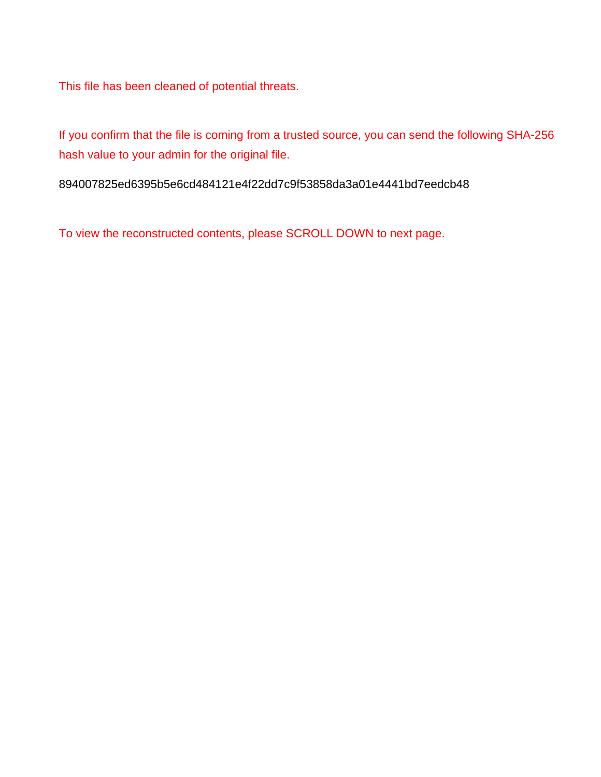This file has been cleaned of potential threats.

If you confirm that the file is coming from a trusted source, you can send the following SHA-256 hash value to your admin for the original file.

894007825ed6395b5e6cd484121e4f22dd7c9f53858da3a01e4441bd7eedcb48

To view the reconstructed contents, please SCROLL DOWN to next page.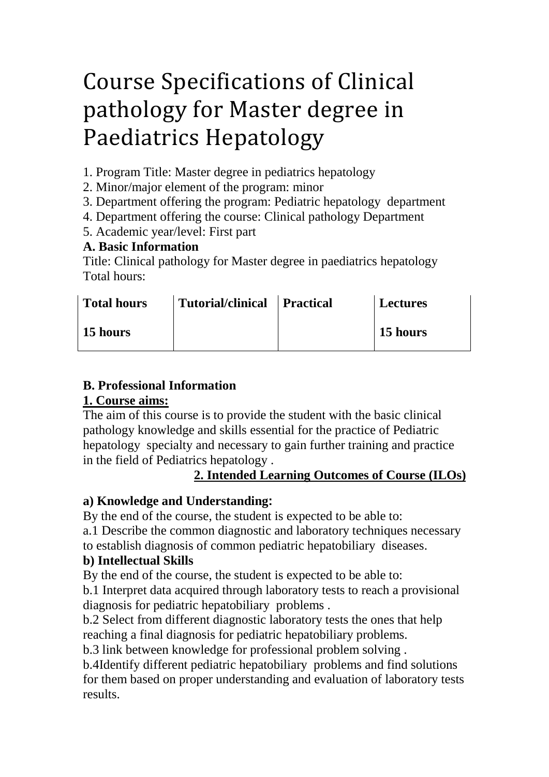# Course Specifications of Clinical pathology for Master degree in Paediatrics Hepatology

- 1. Program Title: Master degree in pediatrics hepatology
- 2. Minor/major element of the program: minor
- 3. Department offering the program: Pediatric hepatology department
- 4. Department offering the course: Clinical pathology Department
- 5. Academic year/level: First part

# **A. Basic Information**

Title: Clinical pathology for Master degree in paediatrics hepatology Total hours:

| <b>Total hours</b> | Tutorial/clinical Practical | <b>Lectures</b> |
|--------------------|-----------------------------|-----------------|
| 15 hours           |                             | 15 hours        |

# **B. Professional Information**

# **1. Course aims:**

The aim of this course is to provide the student with the basic clinical pathology knowledge and skills essential for the practice of Pediatric hepatology specialty and necessary to gain further training and practice in the field of Pediatrics hepatology .

# 2. Intended Learning Outcomes of Course (ILOs)

# **a) Knowledge and Understanding:**

By the end of the course, the student is expected to be able to:

a.1 Describe the common diagnostic and laboratory techniques necessary

to establish diagnosis of common pediatric hepatobiliary diseases.

# **b) Intellectual Skills**

By the end of the course, the student is expected to be able to:

b.1 Interpret data acquired through laboratory tests to reach a provisional diagnosis for pediatric hepatobiliary problems .

b.2 Select from different diagnostic laboratory tests the ones that help reaching a final diagnosis for pediatric hepatobiliary problems.

b.3 link between knowledge for professional problem solving .

b.4Identify different pediatric hepatobiliary problems and find solutions for them based on proper understanding and evaluation of laboratory tests results.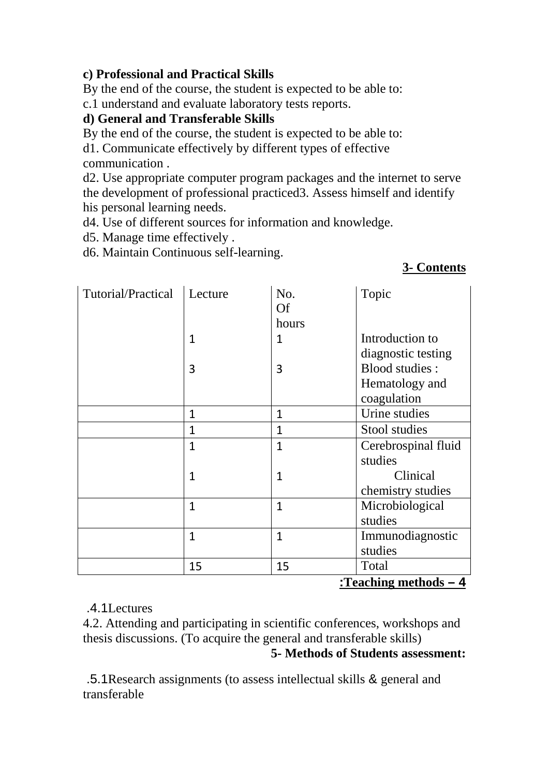#### **c) Professional and Practical Skills**

By the end of the course, the student is expected to be able to:

c.1 understand and evaluate laboratory tests reports.

# **d) General and Transferable Skills**

By the end of the course, the student is expected to be able to:

d1. Communicate effectively by different types of effective communication .

d2. Use appropriate computer program packages and the internet to serve the development of professional practiced3. Assess himself and identify his personal learning needs.

d4. Use of different sources for information and knowledge.

d5. Manage time effectively .

d6. Maintain Continuous self-learning.

#### *<sup>U</sup>***3- Contents**

| Tutorial/Practical    | Lecture      | No.            | Topic               |  |
|-----------------------|--------------|----------------|---------------------|--|
|                       |              | <b>Of</b>      |                     |  |
|                       |              | hours          |                     |  |
|                       | $\mathbf{1}$ | $\mathbf{1}$   | Introduction to     |  |
|                       |              |                | diagnostic testing  |  |
|                       | 3            | 3              | Blood studies:      |  |
|                       |              |                | Hematology and      |  |
|                       |              |                | coagulation         |  |
|                       | $\mathbf{1}$ | $\mathbf{1}$   | Urine studies       |  |
|                       | $\mathbf{1}$ | $\overline{1}$ | Stool studies       |  |
|                       | $\mathbf{1}$ | $\overline{1}$ | Cerebrospinal fluid |  |
|                       |              |                | studies             |  |
|                       | 1            | $\mathbf{1}$   | Clinical            |  |
|                       |              |                | chemistry studies   |  |
|                       | $\mathbf{1}$ | $\mathbf{1}$   | Microbiological     |  |
|                       |              |                | studies             |  |
|                       | $\mathbf{1}$ | $\mathbf{1}$   | Immunodiagnostic    |  |
|                       |              |                | studies             |  |
|                       | 15           | 15             | Total               |  |
| :Teaching methods - 4 |              |                |                     |  |

# .4.1Lectures

4.2. Attending and participating in scientific conferences, workshops and thesis discussions. (To acquire the general and transferable skills) **5- Methods of Students assessment:**

 .5.1Research assignments (to assess intellectual skills & general and transferable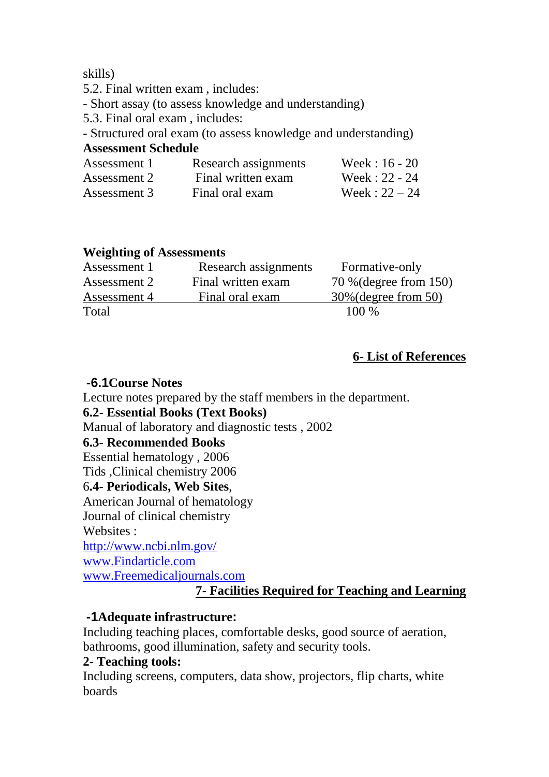skills)

- 5.2. Final written exam , includes:
- Short assay (to assess knowledge and understanding)
- 5.3. Final oral exam , includes:
- Structured oral exam (to assess knowledge and understanding)

#### **Assessment Schedule**

| Assessment 1 | Research assignments | Week: $16 - 20$ |
|--------------|----------------------|-----------------|
| Assessment 2 | Final written exam   | Week: $22 - 24$ |
| Assessment 3 | Final oral exam      | Week: $22 - 24$ |

#### **Weighting of Assessments**

| Assessment 1 | Research assignments | Formative-only          |
|--------------|----------------------|-------------------------|
| Assessment 2 | Final written exam   | 70 % (degree from 150)  |
| Assessment 4 | Final oral exam      | $30\%$ (degree from 50) |
| Total        |                      | $100\%$                 |

# *<sup>U</sup>***6- List of References**

# **-6.1Course Notes**

Lecture notes prepared by the staff members in the department.

# **6.2- Essential Books (Text Books)**

Manual of laboratory and diagnostic tests , 2002

# **6.3- Recommended Books**

Essential hematology , 2006

Tids ,Clinical chemistry 2006

# 6**.4- Periodicals, Web Sites**,

American Journal of hematology

Journal of clinical chemistry

Websites :

*<sup>U</sup>*http://www.ncbi.nlm.gov/*<sup>U</sup>*

*<sup>U</sup>*www.Findarticle.com*<sup>U</sup>*

*<sup>U</sup>*www.Freemedicaljournals.com*<sup>U</sup>*

# *<sup>U</sup>***7- Facilities Required for Teaching and Learning**

# **-1Adequate infrastructure:**

Including teaching places, comfortable desks, good source of aeration, bathrooms, good illumination, safety and security tools.

# **2- Teaching tools:**

Including screens, computers, data show, projectors, flip charts, white boards